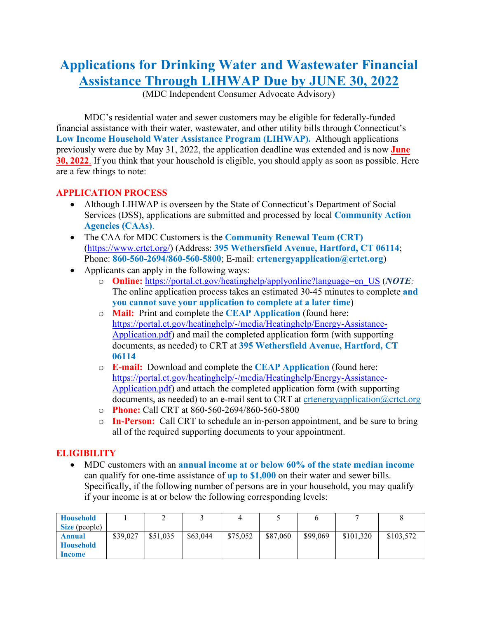## **Applications for Drinking Water and Wastewater Financial Assistance Through LIHWAP Due by JUNE 30, 2022**

(MDC Independent Consumer Advocate Advisory)

MDC's residential water and sewer customers may be eligible for federally-funded financial assistance with their water, wastewater, and other utility bills through Connecticut's **Low Income Household Water Assistance Program (LIHWAP).** Although applications previously were due by May 31, 2022, the application deadline was extended and is now **June 30, 2022**. If you think that your household is eligible, you should apply as soon as possible. Here are a few things to note:

## **APPLICATION PROCESS**

- Although LIHWAP is overseen by the State of Connecticut's Department of Social Services (DSS), applications are submitted and processed by local **Community Action Agencies (CAAs)**.
- The CAA for MDC Customers is the **Community Renewal Team (CRT)**  (https://www.crtct.org/) (Address: **395 Wethersfield Avenue, Hartford, CT 06114**; Phone: **860-560-2694/860-560-5800**; E-mail: **crtenergyapplication@crtct.org**)
- Applicants can apply in the following ways:
	- o **Online:** https://portal.ct.gov/heatinghelp/applyonline?language=en\_US (*NOTE:* The online application process takes an estimated 30-45 minutes to complete **and you cannot save your application to complete at a later time**)
	- o **Mail:** Print and complete the **CEAP Application** (found here: https://portal.ct.gov/heatinghelp/-/media/Heatinghelp/Energy-Assistance-Application.pdf) and mail the completed application form (with supporting documents, as needed) to CRT at **395 Wethersfield Avenue, Hartford, CT 06114**
	- o **E-mail:** Download and complete the **CEAP Application** (found here: https://portal.ct.gov/heatinghelp/-/media/Heatinghelp/Energy-Assistance-Application.pdf) and attach the completed application form (with supporting documents, as needed) to an e-mail sent to CRT at crtenergyapplication@crtct.org
	- o **Phone:** Call CRT at 860-560-2694/860-560-5800
	- o **In-Person:** Call CRT to schedule an in-person appointment, and be sure to bring all of the required supporting documents to your appointment.

## **ELIGIBILITY**

• MDC customers with an **annual income at or below 60% of the state median income** can qualify for one-time assistance of **up to \$1,000** on their water and sewer bills. Specifically, if the following number of persons are in your household, you may qualify if your income is at or below the following corresponding levels:

| <b>Household</b> |          |          |          |          |          |          |           |           |
|------------------|----------|----------|----------|----------|----------|----------|-----------|-----------|
| Size (people)    |          |          |          |          |          |          |           |           |
| <b>Annual</b>    | \$39,027 | \$51,035 | \$63,044 | \$75,052 | \$87,060 | \$99,069 | \$101,320 | \$103,572 |
| <b>Household</b> |          |          |          |          |          |          |           |           |
| Income           |          |          |          |          |          |          |           |           |